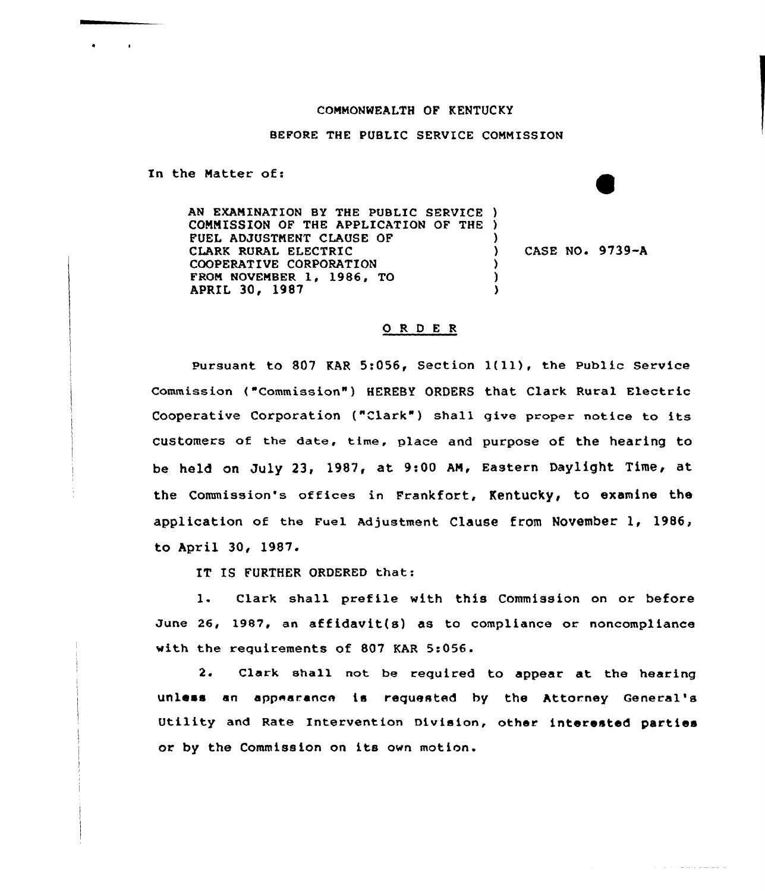## COMMONWEALTH OF KENTUCKY

## BEFORE THE PUBLIC SERVICE COMMISSION

In the Natter of:

 $\bullet$  . The set of  $\bullet$ 

 $\sim 100$ 

AN EXAMINATION BY THE PUBLIC SERVICE ) COMMISSION OF THE APPLICATION OF THE ) FUEL ADJUSTNENT CLAUSE OF CLARK RURAL ELECTRIC COOPERATIVE CORPORATION FRON NOVENBER 1, 1986, TO APRIL 30, 1987 ) ) CASE NO. 9739-A ) ) )

## ORDER

Pursuant to <sup>807</sup> KAR 5:056, Section l(ll), the Public Service Commission ("Commission" ) HEREBY ORDERS that Clark Rural Electric Cooperative Corporation ("Clark") shall give proper notice to its customers of the date, time, place and purpose of the hearing to be held on July 23, 1987, at 9:00 AM, Eastern Daylight Time, at the Commission's offices in Frankfort, Kentucky, to examine the application of the Fuel Adjustment Clause from November 1, 1986, to April 30, 1987.

IT IS FURTHER ORDERED that:

1. Clark shall prefile with this Commission on or before June 26, 1987, an affidavit{s) as to compliance or noncompliance with the requirements of 807 KAR 5:056.

2. Clark shall not be required to appear at the hearing unless an appearance is requested by the Attorney General' Utility and Rate Intervention Division, other interested parties or by the Commission on its own motion.

المستوفي والمتعاونة والمتحدث والمتحدث